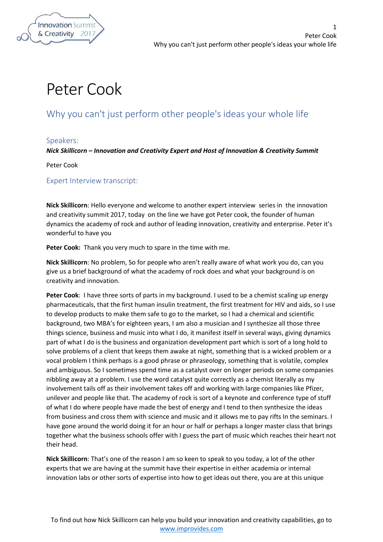

1

## Peter Cook

## Why you can't just perform other people's ideas your whole life

## Speakers:

*Nick Skillicorn – Innovation and Creativity Expert and Host of Innovation & Creativity Summit*

Peter Cook

Expert Interview transcript:

**Nick Skillicorn**: Hello everyone and welcome to another expert interview series in the innovation and creativity summit 2017, today on the line we have got Peter cook, the founder of human dynamics the academy of rock and author of leading innovation, creativity and enterprise. Peter it's wonderful to have you

**Peter Cook:** Thank you very much to spare in the time with me.

**Nick Skillicorn**: No problem, So for people who aren't really aware of what work you do, can you give us a brief background of what the academy of rock does and what your background is on creativity and innovation.

**Peter Cook**: I have three sorts of parts in my background. I used to be a chemist scaling up energy pharmaceuticals, that the first human insulin treatment, the first treatment for HIV and aids, so I use to develop products to make them safe to go to the market, so I had a chemical and scientific background, two MBA's for eighteen years, I am also a musician and I synthesize all those three things science, business and music into what I do, it manifest itself in several ways, giving dynamics part of what I do is the business and organization development part which is sort of a long hold to solve problems of a client that keeps them awake at night, something that is a wicked problem or a vocal problem I think perhaps is a good phrase or phraseology, something that is volatile, complex and ambiguous. So I sometimes spend time as a catalyst over on longer periods on some companies nibbling away at a problem. I use the word catalyst quite correctly as a chemist literally as my involvement tails off as their involvement takes off and working with large companies like Pfizer, unilever and people like that. The academy of rock is sort of a keynote and conference type of stuff of what I do where people have made the best of energy and I tend to then synthesize the ideas from business and cross them with science and music and it allows me to pay rifts In the seminars. I have gone around the world doing it for an hour or half or perhaps a longer master class that brings together what the business schools offer with I guess the part of music which reaches their heart not their head.

**Nick Skillicorn**: That's one of the reason I am so keen to speak to you today, a lot of the other experts that we are having at the summit have their expertise in either academia or internal innovation labs or other sorts of expertise into how to get ideas out there, you are at this unique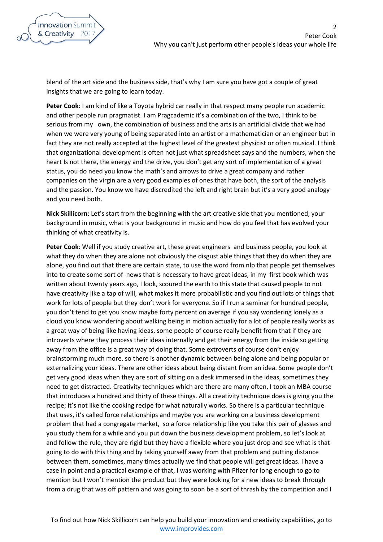blend of the art side and the business side, that's why I am sure you have got a couple of great insights that we are going to learn today.

**Peter Cook**: I am kind of like a Toyota hybrid car really in that respect many people run academic and other people run pragmatist. I am Pragcademic it's a combination of the two, I think to be serious from my own, the combination of business and the arts is an artificial divide that we had when we were very young of being separated into an artist or a mathematician or an engineer but in fact they are not really accepted at the highest level of the greatest physicist or often musical. I think that organizational development is often not just what spreadsheet says and the numbers, when the heart Is not there, the energy and the drive, you don't get any sort of implementation of a great status, you do need you know the math's and arrows to drive a great company and rather companies on the virgin are a very good examples of ones that have both, the sort of the analysis and the passion. You know we have discredited the left and right brain but it's a very good analogy and you need both.

**Nick Skillicorn**: Let's start from the beginning with the art creative side that you mentioned, your background in music, what is your background in music and how do you feel that has evolved your thinking of what creativity is.

**Peter Cook**: Well if you study creative art, these great engineers and business people, you look at what they do when they are alone not obviously the disgust able things that they do when they are alone, you find out that there are certain state, to use the word from nlp that people get themselves into to create some sort of news that is necessary to have great ideas, in my first book which was written about twenty years ago, I look, scoured the earth to this state that caused people to not have creativity like a tap of will, what makes it more probabilistic and you find out lots of things that work for lots of people but they don't work for everyone. So if I run a seminar for hundred people, you don't tend to get you know maybe forty percent on average if you say wondering lonely as a cloud you know wondering about walking being in motion actually for a lot of people really works as a great way of being like having ideas, some people of course really benefit from that if they are introverts where they process their ideas internally and get their energy from the inside so getting away from the office is a great way of doing that. Some extroverts of course don't enjoy brainstorming much more. so there is another dynamic between being alone and being popular or externalizing your ideas. There are other ideas about being distant from an idea. Some people don't get very good ideas when they are sort of sitting on a desk immersed in the ideas, sometimes they need to get distracted. Creativity techniques which are there are many often, I took an MBA course that introduces a hundred and thirty of these things. All a creativity technique does is giving you the recipe; it's not like the cooking recipe for what naturally works. So there is a particular technique that uses, it's called force relationships and maybe you are working on a business development problem that had a congregate market, so a force relationship like you take this pair of glasses and you study them for a while and you put down the business development problem, so let's look at and follow the rule, they are rigid but they have a flexible where you just drop and see what is that going to do with this thing and by taking yourself away from that problem and putting distance between them, sometimes, many times actually we find that people will get great ideas. I have a case in point and a practical example of that, I was working with Pfizer for long enough to go to mention but I won't mention the product but they were looking for a new ideas to break through from a drug that was off pattern and was going to soon be a sort of thrash by the competition and I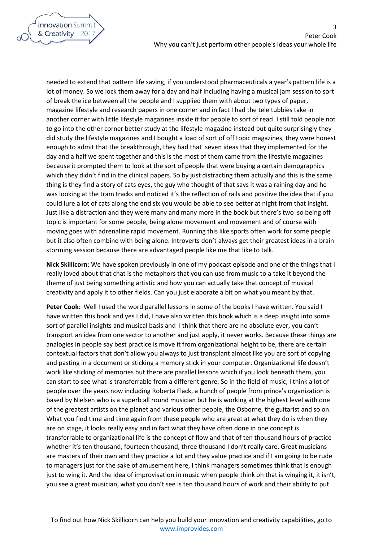3



needed to extend that pattern life saving, if you understood pharmaceuticals a year's pattern life is a lot of money. So we lock them away for a day and half including having a musical jam session to sort of break the ice between all the people and I supplied them with about two types of paper, magazine lifestyle and research papers in one corner and in fact I had the tele tubbies take in another corner with little lifestyle magazines inside it for people to sort of read. I still told people not to go into the other corner better study at the lifestyle magazine instead but quite surprisingly they did study the lifestyle magazines and I bought a load of sort of off topic magazines, they were honest enough to admit that the breakthrough, they had that seven ideas that they implemented for the day and a half we spent together and this is the most of them came from the lifestyle magazines because it prompted them to look at the sort of people that were buying a certain demographics which they didn't find in the clinical papers. So by just distracting them actually and this is the same thing is they find a story of cats eyes, the guy who thought of that says it was a raining day and he was looking at the tram tracks and noticed it's the reflection of rails and positive the idea that if you could lure a lot of cats along the end six you would be able to see better at night from that insight. Just like a distraction and they were many and many more in the book but there's two so being off topic is important for some people, being alone movement and movement and of course with moving goes with adrenaline rapid movement. Running this like sports often work for some people but it also often combine with being alone. Introverts don't always get their greatest ideas in a brain storming session because there are advantaged people like me that like to talk.

**Nick Skillicorn**: We have spoken previously in one of my podcast episode and one of the things that I really loved about that chat is the metaphors that you can use from music to a take it beyond the theme of just being something artistic and how you can actually take that concept of musical creativity and apply it to other fields. Can you just elaborate a bit on what you meant by that.

**Peter Cook**: Well I used the word parallel lessons in some of the books I have written. You said I have written this book and yes I did, I have also written this book which is a deep insight into some sort of parallel insights and musical basis and I think that there are no absolute ever, you can't transport an idea from one sector to another and just apply, it never works. Because these things are analogies in people say best practice is move it from organizational height to be, there are certain contextual factors that don't allow you always to just transplant almost like you are sort of copying and pasting in a document or sticking a memory stick in your computer. Organizational life doesn't work like sticking of memories but there are parallel lessons which if you look beneath them, you can start to see what is transferrable from a different genre. So in the field of music, I think a lot of people over the years now including Roberta Flack, a bunch of people from prince's organization is based by Nielsen who is a superb all round musician but he is working at the highest level with one of the greatest artists on the planet and various other people, the Osborne, the guitarist and so on. What you find time and time again from these people who are great at what they do is when they are on stage, it looks really easy and in fact what they have often done in one concept is transferrable to organizational life is the concept of flow and that of ten thousand hours of practice whether it's ten thousand, fourteen thousand, three thousand I don't really care. Great musicians are masters of their own and they practice a lot and they value practice and if I am going to be rude to managers just for the sake of amusement here, I think managers sometimes think that is enough just to wing it. And the idea of improvisation in music when people think oh that is winging it, it isn't, you see a great musician, what you don't see is ten thousand hours of work and their ability to put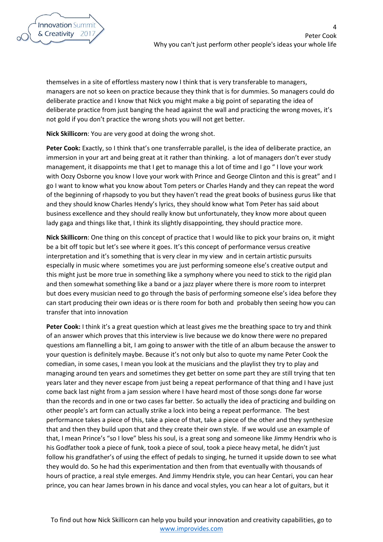themselves in a site of effortless mastery now I think that is very transferable to managers, managers are not so keen on practice because they think that is for dummies. So managers could do deliberate practice and I know that Nick you might make a big point of separating the idea of deliberate practice from just banging the head against the wall and practicing the wrong moves, it's not gold if you don't practice the wrong shots you will not get better.

**Nick Skillicorn**: You are very good at doing the wrong shot.

**Peter Cook:** Exactly, so I think that's one transferrable parallel, is the idea of deliberate practice, an immersion in your art and being great at it rather than thinking. a lot of managers don't ever study management, it disappoints me that I get to manage this a lot of time and I go " I love your work with Oozy Osborne you know I love your work with Prince and George Clinton and this is great" and I go I want to know what you know about Tom peters or Charles Handy and they can repeat the word of the beginning of rhapsody to you but they haven't read the great books of business gurus like that and they should know Charles Hendy's lyrics, they should know what Tom Peter has said about business excellence and they should really know but unfortunately, they know more about queen lady gaga and things like that, I think its slightly disappointing, they should practice more.

**Nick Skillicorn**: One thing on this concept of practice that I would like to pick your brains on, it might be a bit off topic but let's see where it goes. It's this concept of performance versus creative interpretation and it's something that is very clear in my view and in certain artistic pursuits especially in music where sometimes you are just performing someone else's creative output and this might just be more true in something like a symphony where you need to stick to the rigid plan and then somewhat something like a band or a jazz player where there is more room to interpret but does every musician need to go through the basis of performing someone else's idea before they can start producing their own ideas or is there room for both and probably then seeing how you can transfer that into innovation

**Peter Cook:** I think it's a great question which at least gives me the breathing space to try and think of an answer which proves that this interview is live because we do know there were no prepared questions am flannelling a bit, I am going to answer with the title of an album because the answer to your question is definitely maybe. Because it's not only but also to quote my name Peter Cook the comedian, in some cases, I mean you look at the musicians and the playlist they try to play and managing around ten years and sometimes they get better on some part they are still trying that ten years later and they never escape from just being a repeat performance of that thing and I have just come back last night from a jam session where I have heard most of those songs done far worse than the records and in one or two cases far better. So actually the idea of practicing and building on other people's art form can actually strike a lock into being a repeat performance. The best performance takes a piece of this, take a piece of that, take a piece of the other and they synthesize that and then they build upon that and they create their own style. If we would use an example of that, I mean Prince's "so I love" bless his soul, is a great song and someone like Jimmy Hendrix who is his Godfather took a piece of funk, took a piece of soul, took a piece heavy metal, he didn't just follow his grandfather's of using the effect of pedals to singing, he turned it upside down to see what they would do. So he had this experimentation and then from that eventually with thousands of hours of practice, a real style emerges. And Jimmy Hendrix style, you can hear Centari, you can hear prince, you can hear James brown in his dance and vocal styles, you can hear a lot of guitars, but it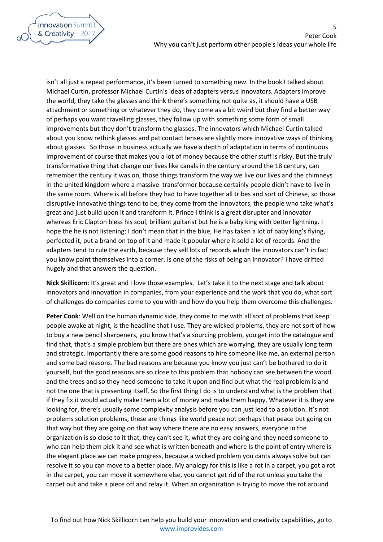

isn't all just a repeat performance, it's been turned to something new. In the book I talked about Michael Curtin, professor Michael Curtin's ideas of adapters versus innovators. Adapters improve the world, they take the glasses and think there's something not quite as, it should have a USB attachment or something or whatever they do, they come as a bit weird but they find a better way of perhaps you want travelling glasses, they follow up with something some form of small improvements but they don't transform the glasses. The innovators which Michael Curtin talked about you know rethink glasses and pat contact lenses are slightly more innovative ways of thinking about glasses. So those in business actually we have a depth of adaptation in terms of continuous improvement of course that makes you a lot of money because the other stuff is risky. But the truly transformative thing that change our lives like canals in the century around the 18 century, can remember the century it was on, those things transform the way we live our lives and the chimneys in the united kingdom where a massive transformer because certainly people didn't have to live in the same room. Where is all before they had to have together all tribes and sort of Chinese, so those disruptive innovative things tend to be, they come from the innovators, the people who take what's great and just build upon it and transform it. Prince I think is a great disrupter and innovator whereas Eric Clapton bless his soul, brilliant guitarist but he is a baby king with better lightning. I hope the he is not listening; I don't mean that in the blue, He has taken a lot of baby king's flying, perfected it, put a brand on top of it and made it popular where it sold a lot of records. And the adapters tend to rule the earth, because they sell lots of records which the innovators can't in fact you know paint themselves into a corner. Is one of the risks of being an innovator? I have drifted hugely and that answers the question.

**Nick Skillicorn**: It's great and I love those examples. Let's take it to the next stage and talk about innovators and innovation in companies, from your experience and the work that you do, what sort of challenges do companies come to you with and how do you help them overcome this challenges.

**Peter Cook**: Well on the human dynamic side, they come to me with all sort of problems that keep people awake at night, is the headline that I use. They are wicked problems, they are not sort of how to buy a new pencil sharpeners, you know that's a sourcing problem, you get into the catalogue and find that, that's a simple problem but there are ones which are worrying, they are usually long term and strategic. Importantly there are some good reasons to hire someone like me, an external person and some bad reasons. The bad reasons are because you know you just can't be bothered to do it yourself, but the good reasons are so close to this problem that nobody can see between the wood and the trees and so they need someone to take it upon and find out what the real problem is and not the one that is presenting itself. So the first thing I do is to understand what is the problem that if they fix it would actually make them a lot of money and make them happy, Whatever it is they are looking for, there's usually some complexity analysis before you can just lead to a solution. It's not problems solution problems, these are things like world peace not perhaps that peace but going on that way but they are going on that way where there are no easy answers, everyone in the organization is so close to it that, they can't see it, what they are doing and they need someone to who can help them pick it and see what is written beneath and where Is the point of entry where is the elegant place we can make progress, because a wicked problem you cants always solve but can resolve it so you can move to a better place. My analogy for this is like a rot in a carpet, you got a rot in the carpet, you can move it somewhere else, you cannot get rid of the rot unless you take the carpet out and take a piece off and relay it. When an organization is trying to move the rot around

5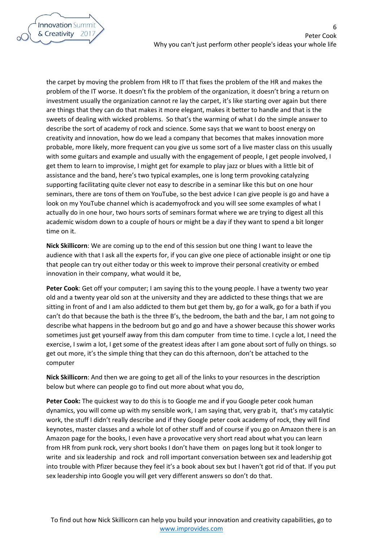6



the carpet by moving the problem from HR to IT that fixes the problem of the HR and makes the problem of the IT worse. It doesn't fix the problem of the organization, it doesn't bring a return on investment usually the organization cannot re lay the carpet, it's like starting over again but there are things that they can do that makes it more elegant, makes it better to handle and that is the sweets of dealing with wicked problems. So that's the warming of what I do the simple answer to describe the sort of academy of rock and science. Some says that we want to boost energy on creativity and innovation, how do we lead a company that becomes that makes innovation more probable, more likely, more frequent can you give us some sort of a live master class on this usually with some guitars and example and usually with the engagement of people, I get people involved, I get them to learn to improvise, I might get for example to play jazz or blues with a little bit of assistance and the band, here's two typical examples, one is long term provoking catalyzing supporting facilitating quite clever not easy to describe in a seminar like this but on one hour seminars, there are tons of them on YouTube, so the best advice I can give people is go and have a look on my YouTube channel which is academyofrock and you will see some examples of what I actually do in one hour, two hours sorts of seminars format where we are trying to digest all this academic wisdom down to a couple of hours or might be a day if they want to spend a bit longer time on it.

**Nick Skillicorn**: We are coming up to the end of this session but one thing I want to leave the audience with that I ask all the experts for, if you can give one piece of actionable insight or one tip that people can try out either today or this week to improve their personal creativity or embed innovation in their company, what would it be,

**Peter Cook**: Get off your computer; I am saying this to the young people. I have a twenty two year old and a twenty year old son at the university and they are addicted to these things that we are sitting in front of and I am also addicted to them but get them by, go for a walk, go for a bath if you can't do that because the bath is the three B's, the bedroom, the bath and the bar, I am not going to describe what happens in the bedroom but go and go and have a shower because this shower works sometimes just get yourself away from this dam computer from time to time. I cycle a lot, I need the exercise, I swim a lot, I get some of the greatest ideas after I am gone about sort of fully on things. so get out more, it's the simple thing that they can do this afternoon, don't be attached to the computer

**Nick Skillicorn**: And then we are going to get all of the links to your resources in the description below but where can people go to find out more about what you do,

**Peter Cook:** The quickest way to do this is to Google me and if you Google peter cook human dynamics, you will come up with my sensible work, I am saying that, very grab it, that's my catalytic work, the stuff I didn't really describe and if they Google peter cook academy of rock, they will find keynotes, master classes and a whole lot of other stuff and of course if you go on Amazon there is an Amazon page for the books, I even have a provocative very short read about what you can learn from HR from punk rock, very short books I don't have them on pages long but it took longer to write and six leadership and rock and roll important conversation between sex and leadership got into trouble with Pfizer because they feel it's a book about sex but I haven't got rid of that. If you put sex leadership into Google you will get very different answers so don't do that.